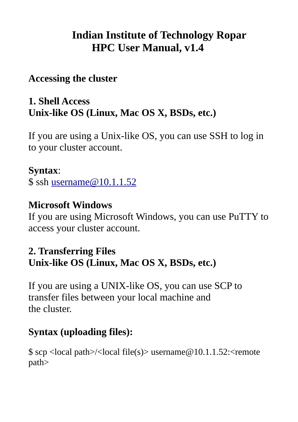# **Indian Institute of Technology Ropar HPC User Manual, v1.4**

## **Accessing the cluster**

## **1. Shell Access Unix-like OS (Linux, Mac OS X, BSDs, etc.)**

If you are using a Unix-like OS, you can use SSH to log in to your cluster account.

### **Syntax**:

\$ ssh [username@10.1.1.52](mailto:username@10.1.1.52)

### **Microsoft Windows**

If you are using Microsoft Windows, you can use PuTTY to access your cluster account.

## **2. Transferring Files Unix-like OS (Linux, Mac OS X, BSDs, etc.)**

If you are using a UNIX-like OS, you can use SCP to transfer files between your local machine and the cluster.

# **Syntax (uploading files):**

 $$$  scp <local path>/<local file(s)> username@10.1.1.52:<remote path>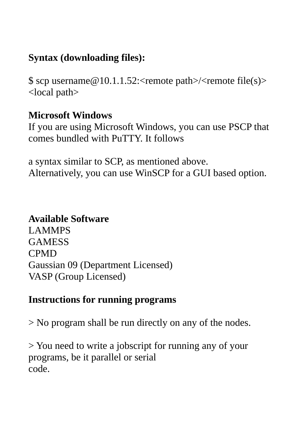# **Syntax (downloading files):**

\$ scp username $@10.1.1.52$ : < remote path > / < remote file(s) > <local path>

#### **Microsoft Windows**

If you are using Microsoft Windows, you can use PSCP that comes bundled with PuTTY. It follows

a syntax similar to SCP, as mentioned above. Alternatively, you can use WinSCP for a GUI based option.

## **Available Software**

LAMMPS GAMESS CPMD Gaussian 09 (Department Licensed) VASP (Group Licensed)

#### **Instructions for running programs**

> No program shall be run directly on any of the nodes.

> You need to write a jobscript for running any of your programs, be it parallel or serial code.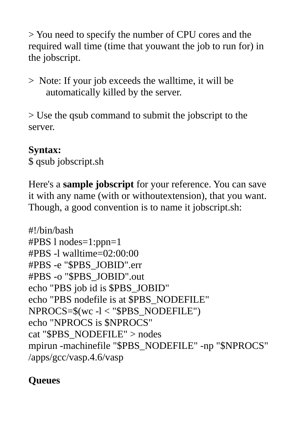> You need to specify the number of CPU cores and the required wall time (time that youwant the job to run for) in the jobscript.

> Note: If your job exceeds the walltime, it will be automatically killed by the server.

> Use the qsub command to submit the jobscript to the server.

### **Syntax:**

\$ qsub jobscript.sh

Here's a **sample jobscript** for your reference. You can save it with any name (with or withoutextension), that you want. Though, a good convention is to name it jobscript.sh:

```
#!/bin/bash
#PBS l nodes=1:ppn=1
#PBS -l walltime=02:00:00
#PBS -e "$PBS_JOBID".err
#PBS -o "$PBS_JOBID".out
echo "PBS job id is $PBS_JOBID"
echo "PBS nodefile is at $PBS_NODEFILE"
NPROCS=$(wc -l < "$PBS_NODEFILE")
echo "NPROCS is $NPROCS"
cat "$PBS_NODEFILE" > nodes
mpirun -machinefile "$PBS_NODEFILE" -np "$NPROCS"
/apps/gcc/vasp.4.6/vasp
```
# **Queues**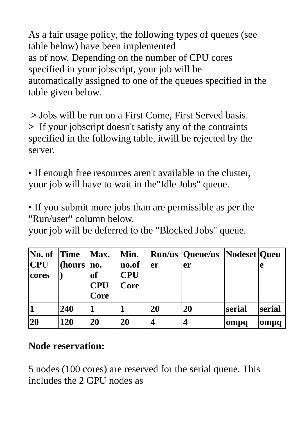As a fair usage policy, the following types of queues (see table below) have been implemented as of now. Depending on the number of CPU cores specified in your jobscript, your job will be automatically assigned to one of the queues specified in the table given below.

 **>** Jobs will be run on a First Come, First Served basis. **>** If your jobscript doesn't satisfy any of the contraints specified in the following table, itwill be rejected by the server.

• If enough free resources aren't available in the cluster, your job will have to wait in the"Idle Jobs" queue.

• If you submit more jobs than are permissible as per the "Run/user" column below,

your job will be deferred to the "Blocked Jobs" queue.

| $\bf No.$ of<br>$ $ CPU<br>cores | $ \textcolor{red}{\mathrm{Time}} $<br>(hours | Max.<br>no.<br><b>of</b><br><b>CPU</b><br>Core | Min.<br>no.of<br><b>CPU</b><br>Core | er        | <b>Run/us Queue/us Nodeset Queu</b><br>er |        | e      |
|----------------------------------|----------------------------------------------|------------------------------------------------|-------------------------------------|-----------|-------------------------------------------|--------|--------|
|                                  | 240                                          |                                                |                                     | <b>20</b> | <b>20</b>                                 | serial | serial |
| <b>20</b>                        | <b>120</b>                                   | 20                                             | <b>20</b>                           | 4         | 4                                         | ompq   | ompq   |

#### **Node reservation:**

5 nodes (100 cores) are reserved for the serial queue. This includes the 2 GPU nodes as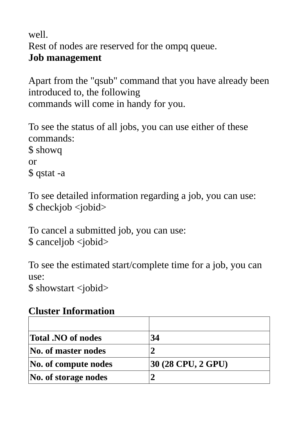well.

Rest of nodes are reserved for the ompq queue.

## **Job management**

Apart from the "qsub" command that you have already been introduced to, the following commands will come in handy for you.

To see the status of all jobs, you can use either of these commands: \$ showq or \$ qstat -a

To see detailed information regarding a job, you can use: \$ checkjob <jobid>

To cancel a submitted job, you can use: \$ canceljob <jobid>

To see the estimated start/complete time for a job, you can use:

\$ showstart <jobid>

## **Cluster Information**

| <b>Total .NO of nodes</b>  | 34                 |
|----------------------------|--------------------|
| $\bf{No.}$ of master nodes |                    |
| No. of compute nodes       | 30 (28 CPU, 2 GPU) |
| No. of storage nodes       |                    |